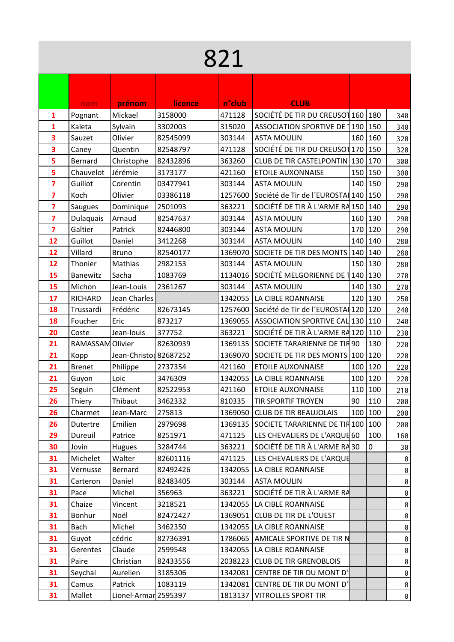| 821                          |                  |                        |                      |                   |                                               |                                                                                          |                                                                                                                                                        |     |  |
|------------------------------|------------------|------------------------|----------------------|-------------------|-----------------------------------------------|------------------------------------------------------------------------------------------|--------------------------------------------------------------------------------------------------------------------------------------------------------|-----|--|
|                              |                  |                        |                      |                   |                                               |                                                                                          |                                                                                                                                                        |     |  |
|                              | nom              | prénom                 | licence              | n°club            | <b>CLUB</b>                                   |                                                                                          |                                                                                                                                                        |     |  |
| 1                            | Pognant          | Mickael                | 3158000              | 471128            | SOCIÉTÉ DE TIR DU CREUSOT 160   180           |                                                                                          |                                                                                                                                                        | 340 |  |
| 1                            | Kaleta           | Sylvain                | 3302003              | 315020            | ASSOCIATION SPORTIVE DE 190   150             |                                                                                          |                                                                                                                                                        | 340 |  |
| 3                            | Sauzet           | Olivier                | 82545099             | 303144            | <b>ASTA MOULIN</b>                            |                                                                                          | 160 160                                                                                                                                                | 320 |  |
| 3                            | Caney            | Quentin                | 82548797             | 471128            | SOCIÉTÉ DE TIR DU CREUSOT 170   150           |                                                                                          |                                                                                                                                                        | 320 |  |
| 5                            | Bernard          | Christophe             | 82432896             | 363260            | CLUB DE TIR CASTELPONTIN 130   170            |                                                                                          |                                                                                                                                                        | 300 |  |
| 5                            | Chauvelot        | Jérémie                | 3173177              | 421160            | <b>ETOILE AUXONNAISE</b>                      |                                                                                          | 150 150                                                                                                                                                | 300 |  |
|                              | Guillot          |                        |                      |                   | <b>ASTA MOULIN</b>                            |                                                                                          | 140 150                                                                                                                                                |     |  |
| 7<br>7                       | Koch             | Corentin<br>Olivier    | 03477941<br>03386118 | 303144<br>1257600 | Société de Tir de l'EUROSTA 140   150         |                                                                                          |                                                                                                                                                        | 290 |  |
|                              |                  |                        | 2501093              | 363221            | SOCIÉTÉ DE TIR À L'ARME RA 150 140            |                                                                                          |                                                                                                                                                        | 290 |  |
| 7<br>$\overline{\mathbf{z}}$ | Saugues          | Dominique              | 82547637             |                   |                                               |                                                                                          |                                                                                                                                                        |     |  |
|                              | Dulaquais        | Arnaud                 |                      | 303144            | <b>ASTA MOULIN</b>                            |                                                                                          |                                                                                                                                                        |     |  |
| $\overline{\mathbf{z}}$      | Galtier          | Patrick                | 82446800             | 303144            | <b>ASTA MOULIN</b>                            |                                                                                          |                                                                                                                                                        |     |  |
| 12                           | Guillot          | Daniel                 | 3412268              | 303144            | <b>ASTA MOULIN</b>                            |                                                                                          | 290<br>160 130<br>290<br>170 120<br>290<br>140 140<br>280<br>280<br>280<br>270<br>270<br>250<br>240<br>240<br> 110<br>230<br>130<br>220<br> 120<br>220 |     |  |
| 12                           | Villard          | <b>Bruno</b>           | 82540177             | 1369070           | SOCIETE DE TIR DES MONTS 140 140              |                                                                                          |                                                                                                                                                        |     |  |
| 12                           | Thonier          | Mathias                | 2982153              | 303144            | <b>ASTA MOULIN</b>                            |                                                                                          |                                                                                                                                                        |     |  |
| 15                           | Banewitz         | Sacha                  | 1083769              | 1134016           | SOCIÉTÉ MELGORIENNE DE 1140   130             |                                                                                          |                                                                                                                                                        |     |  |
| 15                           | Michon           | Jean-Louis             | 2361267              | 303144            | <b>ASTA MOULIN</b>                            |                                                                                          |                                                                                                                                                        |     |  |
| 17                           | <b>RICHARD</b>   | Jean Charles           |                      | 1342055           | LA CIBLE ROANNAISE                            |                                                                                          |                                                                                                                                                        |     |  |
| 18                           | Trussardi        | Frédéric               | 82673145             |                   | 1257600 Société de Tir de l'EUROSTA 120   120 |                                                                                          |                                                                                                                                                        |     |  |
| 18                           | Foucher          | Eric                   | 873217               | 1369055           | ASSOCIATION SPORTIVE CAL 130 110              |                                                                                          |                                                                                                                                                        |     |  |
| 20                           | Coste            | Jean-louis             | 377752               | 363221            | SOCIÉTÉ DE TIR À L'ARME RA 120                |                                                                                          |                                                                                                                                                        |     |  |
| 21                           | RAMASSAM Olivier |                        | 82630939             | 1369135           | SOCIETE TARARIENNE DE TIR 90                  |                                                                                          |                                                                                                                                                        |     |  |
| 21                           | Kopp             | Jean-Christor 82687252 |                      |                   | 1369070 SOCIETE DE TIR DES MONTS 100          |                                                                                          |                                                                                                                                                        |     |  |
| 21                           | <b>Brenet</b>    | Philippe               | 2737354              | 421160            | <b>ETOILE AUXONNAISE</b>                      |                                                                                          |                                                                                                                                                        |     |  |
| 21                           | Guyon            | Loic                   | 3476309              | 1342055           | LA CIBLE ROANNAISE                            |                                                                                          |                                                                                                                                                        |     |  |
| 25                           | Seguin           | Clément                | 82522953             | 421160            | <b>ETOILE AUXONNAISE</b>                      |                                                                                          |                                                                                                                                                        |     |  |
| 26                           | Thiery           | Thibaut                | 3462332              | 810335            | TIR SPORTIF TROYEN                            | 100 120<br>220<br>100 120<br>220<br>110 100<br>210<br>90<br>110<br>200<br>100 100<br>200 |                                                                                                                                                        |     |  |
| 26                           | Charmet          | Jean-Marc              | 275813               | 1369050           | <b>CLUB DE TIR BEAUJOLAIS</b>                 | 150 130<br>140 130<br>120 130<br>200<br>100<br>160<br>$\mathbf 0$<br>30<br>0<br>0        |                                                                                                                                                        |     |  |
| 26                           | Dutertre         | Emilien                | 2979698              |                   | 1369135 SOCIETE TARARIENNE DE TIR 100   100   |                                                                                          |                                                                                                                                                        |     |  |
| 29                           | Dureuil          | Patrice                | 8251971              | 471125            | LES CHEVALIERS DE L'ARQUE 60                  |                                                                                          |                                                                                                                                                        |     |  |
| 30                           | Jovin            | Hugues                 | 3284744              | 363221            | SOCIÉTÉ DE TIR À L'ARME RA 30                 |                                                                                          |                                                                                                                                                        |     |  |
| 31                           | Michelet         | Walter                 | 82601116             | 471125            | LES CHEVALIERS DE L'ARQUE                     |                                                                                          |                                                                                                                                                        |     |  |
| 31                           | Vernusse         | Bernard                | 82492426             | 1342055           | LA CIBLE ROANNAISE                            |                                                                                          |                                                                                                                                                        |     |  |
| 31                           | Carteron         | Daniel                 | 82483405             | 303144            | <b>ASTA MOULIN</b>                            |                                                                                          |                                                                                                                                                        | 0   |  |
| 31                           | Pace             | Michel                 | 356963               | 363221            | SOCIÉTÉ DE TIR À L'ARME RA                    |                                                                                          |                                                                                                                                                        | 0   |  |
| 31                           | Chaize           | Vincent                | 3218521              | 1342055           | LA CIBLE ROANNAISE                            |                                                                                          |                                                                                                                                                        | 0   |  |
| 31                           | Bonhur           | Noël                   | 82472427             |                   | 1369051 CLUB DE TIR DE L'OUEST                |                                                                                          |                                                                                                                                                        | 0   |  |
| 31                           | Bach             | Michel                 | 3462350              | 1342055           | LA CIBLE ROANNAISE                            |                                                                                          |                                                                                                                                                        | 0   |  |
| 31                           | Guyot            | cédric                 | 82736391             |                   | 1786065 AMICALE SPORTIVE DE TIR N             |                                                                                          |                                                                                                                                                        | 0   |  |
| 31                           | Gerentes         | Claude                 | 2599548              | 1342055           | LA CIBLE ROANNAISE                            |                                                                                          |                                                                                                                                                        | 0   |  |
| 31                           | Paire            | Christian              | 82433556             |                   | 2038223 CLUB DE TIR GRENOBLOIS                |                                                                                          |                                                                                                                                                        | 0   |  |
| 31                           | Seychal          | Aurelien               | 3185306              |                   | 1342081 CENTRE DE TIR DU MONT D'              |                                                                                          |                                                                                                                                                        | 0   |  |
| 31                           | Camus            | Patrick                | 1083119              |                   | 1342081 CENTRE DE TIR DU MONT D'              |                                                                                          |                                                                                                                                                        | 0   |  |
| 31                           | Mallet           | Lionel-Armar 2595397   |                      | 1813137           | <b>VITROLLES SPORT TIR</b>                    |                                                                                          |                                                                                                                                                        | 0   |  |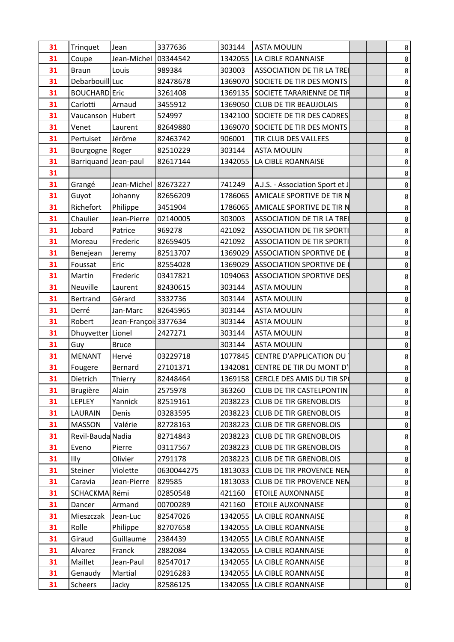| 31 | Trinquet             | Jean                 | 3377636    | 303144  | <b>ASTA MOULIN</b>                | 0 |
|----|----------------------|----------------------|------------|---------|-----------------------------------|---|
| 31 | Coupe                | Jean-Michel          | 03344542   | 1342055 | LA CIBLE ROANNAISE                | 0 |
| 31 | <b>Braun</b>         | Louis                | 989384     | 303003  | <b>ASSOCIATION DE TIR LA TREI</b> | 0 |
| 31 | Debarbouill Luc      |                      | 82478678   | 1369070 | SOCIETE DE TIR DES MONTS          | 0 |
| 31 | <b>BOUCHARD Eric</b> |                      | 3261408    | 1369135 | SOCIETE TARARIENNE DE TIR         | 0 |
| 31 | Carlotti             | Arnaud               | 3455912    | 1369050 | <b>CLUB DE TIR BEAUJOLAIS</b>     | 0 |
| 31 | Vaucanson            | Hubert               | 524997     | 1342100 | SOCIETE DE TIR DES CADRES         | 0 |
| 31 | Venet                | Laurent              | 82649880   | 1369070 | SOCIETE DE TIR DES MONTS          | 0 |
| 31 | Pertuiset            | Jérôme               | 82463742   | 906001  | TIR CLUB DES VALLEES              | 0 |
| 31 | Bourgogne            | Roger                | 82510229   | 303144  | <b>ASTA MOULIN</b>                | 0 |
| 31 | Barriquand Jean-paul |                      | 82617144   | 1342055 | LA CIBLE ROANNAISE                | 0 |
| 31 |                      |                      |            |         |                                   | 0 |
| 31 | Grangé               | Jean-Michel 82673227 |            | 741249  | A.J.S. - Association Sport et J   | 0 |
| 31 | Guyot                | Johanny              | 82656209   | 1786065 | AMICALE SPORTIVE DE TIR N         | 0 |
| 31 | Richefort            | Philippe             | 3451904    | 1786065 | AMICALE SPORTIVE DE TIR N         | 0 |
| 31 | Chaulier             | Jean-Pierre          | 02140005   | 303003  | <b>ASSOCIATION DE TIR LA TREI</b> | 0 |
| 31 | Jobard               | Patrice              | 969278     | 421092  | <b>ASSOCIATION DE TIR SPORTI</b>  | 0 |
| 31 | Moreau               | Frederic             | 82659405   | 421092  | <b>ASSOCIATION DE TIR SPORTI</b>  | 0 |
| 31 | Benejean             | Jeremy               | 82513707   | 1369029 | <b>ASSOCIATION SPORTIVE DE I</b>  | 0 |
| 31 | Foussat              | Eric                 | 82554028   | 1369029 | ASSOCIATION SPORTIVE DE I         | 0 |
| 31 | Martin               | Frederic             | 03417821   | 1094063 | <b>ASSOCIATION SPORTIVE DES</b>   | 0 |
| 31 | Neuville             | Laurent              | 82430615   | 303144  | <b>ASTA MOULIN</b>                | 0 |
| 31 | Bertrand             | Gérard               | 3332736    | 303144  | <b>ASTA MOULIN</b>                | 0 |
| 31 | Derré                | Jan-Marc             | 82645965   | 303144  | <b>ASTA MOULIN</b>                | 0 |
| 31 | Robert               | Jean-Françoi 3377634 |            | 303144  | <b>ASTA MOULIN</b>                | 0 |
| 31 | Dhuyvetter   Lionel  |                      | 2427271    | 303144  | <b>ASTA MOULIN</b>                | 0 |
| 31 | Guy                  | <b>Bruce</b>         |            | 303144  | <b>ASTA MOULIN</b>                | 0 |
| 31 | <b>MENANT</b>        | Hervé                | 03229718   |         | 1077845 CENTRE D'APPLICATION DU   | 0 |
| 31 | Fougere              | Bernard              | 27101371   |         | 1342081 CENTRE DE TIR DU MONT D'  | 0 |
| 31 | Dietrich             | Thierry              | 82448464   |         | 1369158 CERCLE DES AMIS DU TIR SP | 0 |
| 31 | Brugière             | Alain                | 2575978    | 363260  | <b>CLUB DE TIR CASTELPONTIN</b>   | 0 |
| 31 | LEPLEY               | Yannick              | 82519161   | 2038223 | <b>CLUB DE TIR GRENOBLOIS</b>     | 0 |
| 31 | LAURAIN              | Denis                | 03283595   |         | 2038223 CLUB DE TIR GRENOBLOIS    | 0 |
| 31 | <b>MASSON</b>        | Valérie              | 82728163   |         | 2038223 CLUB DE TIR GRENOBLOIS    | 0 |
| 31 | Revil-Bauda Nadia    |                      | 82714843   |         | 2038223 CLUB DE TIR GRENOBLOIS    | 0 |
| 31 | Eveno                | Pierre               | 03117567   |         | 2038223 CLUB DE TIR GRENOBLOIS    | 0 |
| 31 | Illy                 | Olivier              | 2791178    |         | 2038223 CLUB DE TIR GRENOBLOIS    | 0 |
| 31 | Steiner              | Violette             | 0630044275 |         | 1813033 CLUB DE TIR PROVENCE NEN  | 0 |
| 31 | Caravia              | Jean-Pierre          | 829585     |         | 1813033 CLUB DE TIR PROVENCE NEN  | 0 |
| 31 | SCHACKMA Rémi        |                      | 02850548   | 421160  | <b>ETOILE AUXONNAISE</b>          | 0 |
| 31 | Dancer               | Armand               | 00700289   | 421160  | <b>ETOILE AUXONNAISE</b>          | 0 |
| 31 | Mieszczak            | Jean-Luc             | 82547026   |         | 1342055   LA CIBLE ROANNAISE      | 0 |
| 31 | Rolle                | Philippe             | 82707658   |         | 1342055   LA CIBLE ROANNAISE      | 0 |
| 31 | Giraud               | Guillaume            | 2384439    |         | 1342055   LA CIBLE ROANNAISE      | 0 |
| 31 | Alvarez              | Franck               | 2882084    |         | 1342055   LA CIBLE ROANNAISE      | 0 |
| 31 | Maillet              | Jean-Paul            | 82547017   |         | 1342055   LA CIBLE ROANNAISE      | 0 |
| 31 | Genaudy              | Martial              | 02916283   |         | 1342055   LA CIBLE ROANNAISE      | 0 |
| 31 | Scheers              | Jacky                | 82586125   |         | 1342055   LA CIBLE ROANNAISE      | 0 |
|    |                      |                      |            |         |                                   |   |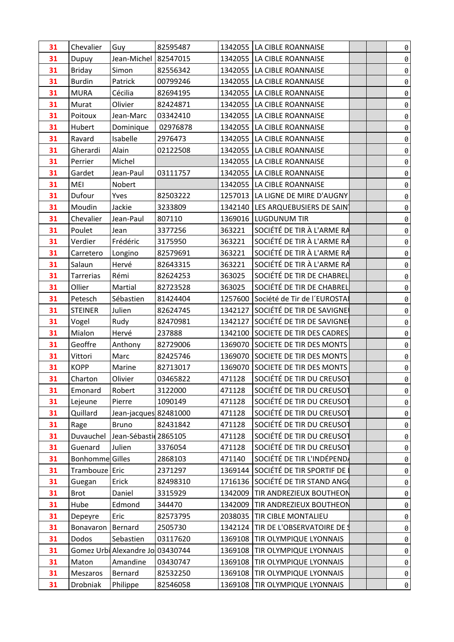| 31 | Chevalier       | Guy                              | 82595487 |         | 1342055   LA CIBLE ROANNAISE         |  | 0 |  |
|----|-----------------|----------------------------------|----------|---------|--------------------------------------|--|---|--|
| 31 | Dupuy           | Jean-Michel 82547015             |          |         | 1342055   LA CIBLE ROANNAISE         |  | 0 |  |
| 31 | <b>Briday</b>   | Simon                            | 82556342 |         | 1342055 LA CIBLE ROANNAISE           |  | 0 |  |
| 31 | <b>Burdin</b>   | Patrick                          | 00799246 |         | 1342055   LA CIBLE ROANNAISE         |  | 0 |  |
| 31 | <b>MURA</b>     | Cécilia                          | 82694195 |         | 1342055   LA CIBLE ROANNAISE         |  | 0 |  |
| 31 | Murat           | Olivier                          | 82424871 |         | 1342055   LA CIBLE ROANNAISE         |  | 0 |  |
| 31 | Poitoux         | Jean-Marc                        | 03342410 |         | 1342055   LA CIBLE ROANNAISE         |  | 0 |  |
| 31 | Hubert          | Dominique                        | 02976878 |         | 1342055   LA CIBLE ROANNAISE         |  | 0 |  |
| 31 | Ravard          | Isabelle                         | 2976473  |         | 1342055   LA CIBLE ROANNAISE         |  | 0 |  |
| 31 | Gherardi        | Alain                            | 02122508 |         | 1342055   LA CIBLE ROANNAISE         |  | 0 |  |
| 31 | Perrier         | Michel                           |          |         | 1342055   LA CIBLE ROANNAISE         |  | 0 |  |
| 31 | Gardet          | Jean-Paul                        | 03111757 |         | 1342055   LA CIBLE ROANNAISE         |  | 0 |  |
| 31 | MEI             | Nobert                           |          |         | 1342055   LA CIBLE ROANNAISE         |  | 0 |  |
| 31 | Dufour          | Yves                             | 82503222 |         | 1257013   LA LIGNE DE MIRE D'AUGNY   |  | 0 |  |
| 31 | Moudin          | Jackie                           | 3233809  |         | 1342140   LES ARQUEBUSIERS DE SAIN   |  | 0 |  |
| 31 | Chevalier       | Jean-Paul                        | 807110   |         | 1369016   LUGDUNUM TIR               |  | 0 |  |
| 31 | Poulet          | Jean                             | 3377256  | 363221  | SOCIÉTÉ DE TIR À L'ARME RA           |  | 0 |  |
| 31 | Verdier         | Frédéric                         | 3175950  | 363221  | SOCIÉTÉ DE TIR À L'ARME RA           |  | 0 |  |
| 31 | Carretero       | Longino                          | 82579691 | 363221  | SOCIÉTÉ DE TIR À L'ARME RA           |  | 0 |  |
| 31 | Salaun          | Hervé                            | 82643315 | 363221  | SOCIÉTÉ DE TIR À L'ARME RA           |  | 0 |  |
| 31 | Tarrerias       | Rémi                             | 82624253 | 363025  | SOCIÉTÉ DE TIR DE CHABREL            |  | 0 |  |
| 31 | Ollier          | Martial                          | 82723528 | 363025  | SOCIÉTÉ DE TIR DE CHABREL            |  | 0 |  |
| 31 | Petesch         | Sébastien                        | 81424404 |         | 1257600 Société de Tir de l'EUROSTAI |  | 0 |  |
| 31 | <b>STEINER</b>  | Julien                           | 82624745 |         | 1342127 SOCIÉTÉ DE TIR DE SAVIGNE    |  | 0 |  |
| 31 | Vogel           | Rudy                             | 82470981 |         | 1342127 SOCIÉTÉ DE TIR DE SAVIGNEI   |  | 0 |  |
| 31 | Mialon          | Hervé                            | 237888   |         | 1342100 SOCIETE DE TIR DES CADRES    |  | 0 |  |
| 31 | Geoffre         | Anthony                          | 82729006 |         | 1369070 SOCIETE DE TIR DES MONTS     |  | 0 |  |
| 31 | Vittori         | Marc                             | 82425746 |         | 1369070 SOCIETE DE TIR DES MONTS     |  | 0 |  |
| 31 | <b>KOPP</b>     | Marine                           | 82713017 |         | 1369070 SOCIETE DE TIR DES MONTS     |  | 0 |  |
| 31 | Charton         | Olivier                          | 03465822 | 471128  | SOCIÉTÉ DE TIR DU CREUSOT            |  | 0 |  |
| 31 | Emonard         | Robert                           | 3122000  | 471128  | SOCIÉTÉ DE TIR DU CREUSOT            |  | 0 |  |
| 31 | Lejeune         | Pierre                           | 1090149  | 471128  | SOCIÉTÉ DE TIR DU CREUSOT            |  | 0 |  |
| 31 | Quillard        | Jean-jacques 82481000            |          | 471128  | SOCIÉTÉ DE TIR DU CREUSOT            |  | 0 |  |
| 31 | Rage            | <b>Bruno</b>                     | 82431842 | 471128  | SOCIÉTÉ DE TIR DU CREUSOT            |  | 0 |  |
| 31 | Duvauchel       | Jean-Sébasti 2865105             |          | 471128  | SOCIÉTÉ DE TIR DU CREUSOT            |  | 0 |  |
| 31 | Guenard         | Julien                           | 3376054  | 471128  | SOCIÉTÉ DE TIR DU CREUSOT            |  | 0 |  |
| 31 | Bonhomme Gilles |                                  | 2868103  | 471140  | SOCIÉTÉ DE TIR L'INDÉPENDA           |  | 0 |  |
| 31 | Trambouze Eric  |                                  | 2371297  | 1369144 | Société de tir sportif de l          |  | 0 |  |
| 31 | Guegan          | Erick                            | 82498310 |         | 1716136 SOCIÉTÉ DE TIR STAND ANGO    |  | 0 |  |
| 31 | <b>Brot</b>     | Daniel                           | 3315929  | 1342009 | TIR ANDREZIEUX BOUTHEON              |  | 0 |  |
| 31 | Hube            | Edmond                           | 344470   | 1342009 | TIR ANDREZIEUX BOUTHEON              |  | 0 |  |
| 31 | Depeyre         | Eric                             | 82573795 | 2038035 | TIR CIBLE MONTALIEU                  |  | 0 |  |
| 31 | Bonavaron       | Bernard                          | 2505730  | 1342124 | TIR DE L'OBSERVATOIRE DE S           |  | 0 |  |
| 31 | Dodos           | Sebastien                        | 03117620 | 1369108 | TIR OLYMPIQUE LYONNAIS               |  | 0 |  |
| 31 |                 | Gomez Urbi Alexandre Jo 03430744 |          | 1369108 | TIR OLYMPIQUE LYONNAIS               |  | 0 |  |
| 31 | Maton           | Amandine                         | 03430747 | 1369108 | TIR OLYMPIQUE LYONNAIS               |  | 0 |  |
| 31 | Meszaros        | Bernard                          | 82532250 | 1369108 | TIR OLYMPIQUE LYONNAIS               |  | 0 |  |
| 31 | Drobniak        | Philippe                         | 82546058 | 1369108 | TIR OLYMPIQUE LYONNAIS               |  | 0 |  |
|    |                 |                                  |          |         |                                      |  |   |  |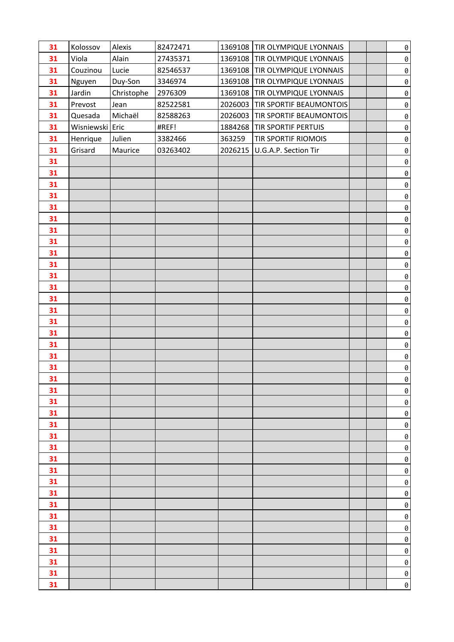| 31 | Kolossov        | Alexis     | 82472471 |        | 1369108 TIR OLYMPIQUE LYONNAIS   |  | $\emptyset$        |
|----|-----------------|------------|----------|--------|----------------------------------|--|--------------------|
| 31 | Viola           | Alain      | 27435371 |        | 1369108   TIR OLYMPIQUE LYONNAIS |  | $\emptyset$        |
| 31 | Couzinou        | Lucie      | 82546537 |        | 1369108 TIR OLYMPIQUE LYONNAIS   |  | $\pmb{\theta}$     |
| 31 | Nguyen          | Duy-Son    | 3346974  |        | 1369108   TIR OLYMPIQUE LYONNAIS |  | $\pmb{\theta}$     |
| 31 | Jardin          | Christophe | 2976309  |        | 1369108 TIR OLYMPIQUE LYONNAIS   |  | $\pmb{\theta}$     |
| 31 | Prevost         | Jean       | 82522581 |        | 2026003 TIR SPORTIF BEAUMONTOIS  |  | $\pmb{\theta}$     |
| 31 | Quesada         | Michaël    | 82588263 |        | 2026003 TIR SPORTIF BEAUMONTOIS  |  | $\pmb{\theta}$     |
| 31 | Wisniewski Eric |            | #REF!    |        | 1884268   TIR SPORTIF PERTUIS    |  | $\pmb{\theta}$     |
| 31 | Henrique        | Julien     | 3382466  | 363259 | TIR SPORTIF RIOMOIS              |  | $\pmb{\theta}$     |
| 31 | Grisard         | Maurice    | 03263402 |        | 2026215   U.G.A.P. Section Tir   |  | $\pmb{\theta}$     |
| 31 |                 |            |          |        |                                  |  | $\pmb{\theta}$     |
| 31 |                 |            |          |        |                                  |  | $\pmb{\theta}$     |
| 31 |                 |            |          |        |                                  |  | $\pmb{\theta}$     |
| 31 |                 |            |          |        |                                  |  | $\pmb{\theta}$     |
| 31 |                 |            |          |        |                                  |  | $\pmb{\theta}$     |
| 31 |                 |            |          |        |                                  |  | $\pmb{\theta}$     |
| 31 |                 |            |          |        |                                  |  | $\pmb{\theta}$     |
| 31 |                 |            |          |        |                                  |  | $\pmb{\theta}$     |
| 31 |                 |            |          |        |                                  |  | $\pmb{\theta}$     |
| 31 |                 |            |          |        |                                  |  | $\pmb{\theta}$     |
| 31 |                 |            |          |        |                                  |  | $\pmb{\theta}$     |
| 31 |                 |            |          |        |                                  |  | $\pmb{\theta}$     |
| 31 |                 |            |          |        |                                  |  | $\pmb{\theta}$     |
| 31 |                 |            |          |        |                                  |  | 0                  |
| 31 |                 |            |          |        |                                  |  | $\pmb{\theta}$     |
| 31 |                 |            |          |        |                                  |  | $\pmb{\theta}$     |
| 31 |                 |            |          |        |                                  |  | $\emptyset$        |
| 31 |                 |            |          |        |                                  |  | $\pmb{\theta}$     |
| 31 |                 |            |          |        |                                  |  | $\pmb{\theta}$     |
| 31 |                 |            |          |        |                                  |  | $\theta$           |
| 31 |                 |            |          |        |                                  |  | 0                  |
| 31 |                 |            |          |        |                                  |  | 0                  |
| 31 |                 |            |          |        |                                  |  | 0                  |
| 31 |                 |            |          |        |                                  |  | 0                  |
| 31 |                 |            |          |        |                                  |  | 0                  |
| 31 |                 |            |          |        |                                  |  | 0                  |
| 31 |                 |            |          |        |                                  |  | 0                  |
| 31 |                 |            |          |        |                                  |  | 0                  |
| 31 |                 |            |          |        |                                  |  | $\pmb{\mathit{0}}$ |
| 31 |                 |            |          |        |                                  |  | 0                  |
| 31 |                 |            |          |        |                                  |  | 0                  |
| 31 |                 |            |          |        |                                  |  | 0                  |
| 31 |                 |            |          |        |                                  |  | $\pmb{\theta}$     |
| 31 |                 |            |          |        |                                  |  | 0                  |
| 31 |                 |            |          |        |                                  |  | 0                  |
| 31 |                 |            |          |        |                                  |  | 0                  |
| 31 |                 |            |          |        |                                  |  | $\pmb{\theta}$     |
| 31 |                 |            |          |        |                                  |  | $\emptyset$        |